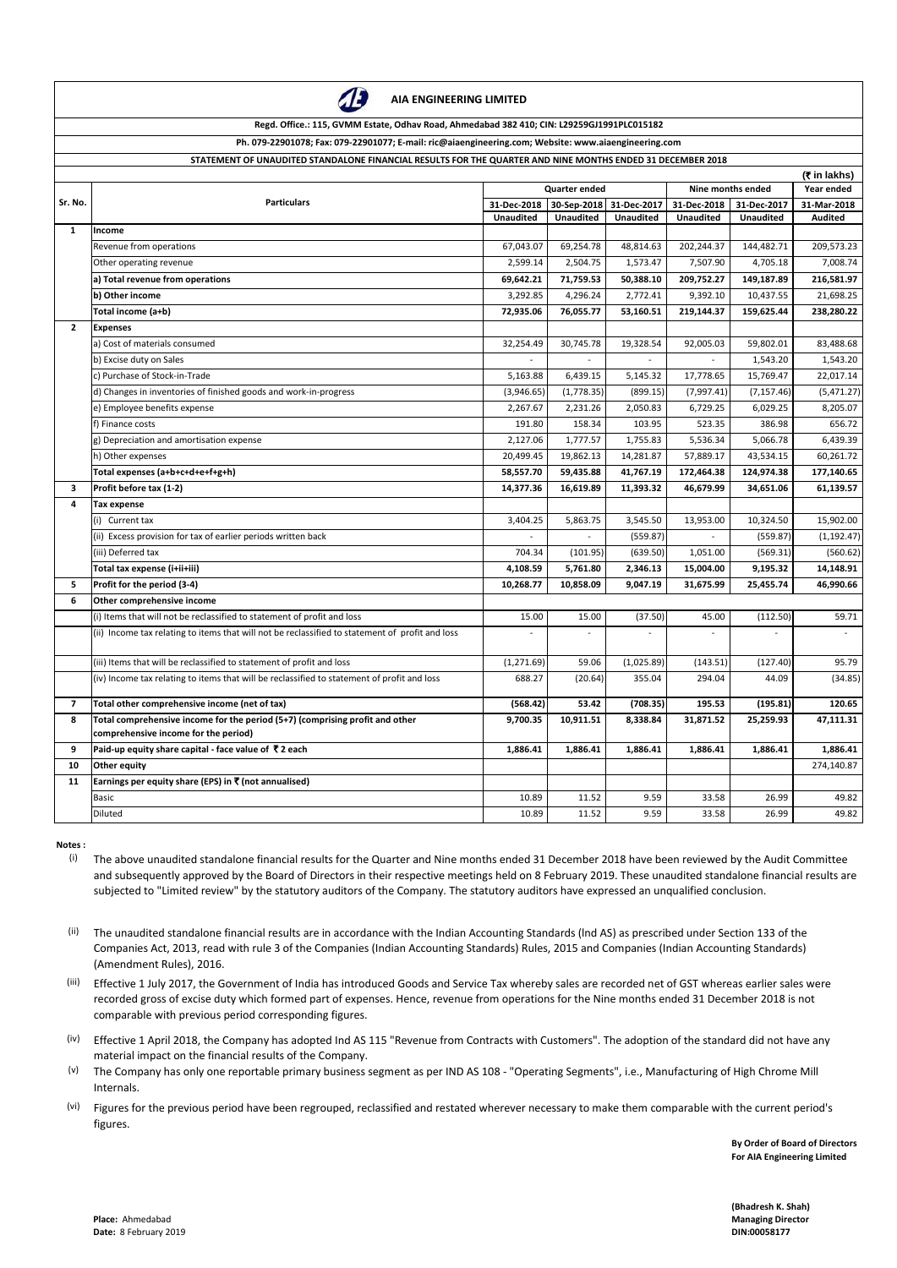**Place:** Ahmedabad **Managing Director Date:** 8 February 2019 **DIN:00058177** 

|                | Ph. 079-22901078; Fax: 079-22901077; E-mail: ric@alaengineering.com; website: www.alaengineering.com<br>STATEMENT OF UNAUDITED STANDALONE FINANCIAL RESULTS FOR THE QUARTER AND NINE MONTHS ENDED 31 DECEMBER 2018 |                  |                      |                  |                            |                   |                           |
|----------------|--------------------------------------------------------------------------------------------------------------------------------------------------------------------------------------------------------------------|------------------|----------------------|------------------|----------------------------|-------------------|---------------------------|
|                |                                                                                                                                                                                                                    |                  |                      |                  |                            |                   | (₹ in lakhs)              |
| Sr. No.        | <b>Particulars</b>                                                                                                                                                                                                 |                  | <b>Quarter ended</b> |                  |                            | Nine months ended |                           |
|                |                                                                                                                                                                                                                    | 31-Dec-2018      | 30-Sep-2018          | 31-Dec-2017      | 31-Dec-2018<br>31-Dec-2017 |                   | Year ended<br>31-Mar-2018 |
|                |                                                                                                                                                                                                                    | <b>Unaudited</b> | <b>Unaudited</b>     | <b>Unaudited</b> | <b>Unaudited</b>           | <b>Unaudited</b>  | Audited                   |
| $\mathbf{1}$   | Income                                                                                                                                                                                                             |                  |                      |                  |                            |                   |                           |
|                | Revenue from operations                                                                                                                                                                                            | 67,043.07        | 69,254.78            | 48,814.63        | 202,244.37                 | 144,482.71        | 209,573.23                |
|                | Other operating revenue                                                                                                                                                                                            | 2,599.14         | 2,504.75             | 1,573.47         | 7,507.90                   | 4,705.18          | 7,008.74                  |
|                | a) Total revenue from operations                                                                                                                                                                                   | 69,642.21        | 71,759.53            | 50,388.10        | 209,752.27                 | 149,187.89        | 216,581.97                |
|                | b) Other income                                                                                                                                                                                                    | 3,292.85         | 4,296.24             | 2,772.41         | 9,392.10                   | 10,437.55         | 21,698.25                 |
|                | Total income (a+b)                                                                                                                                                                                                 | 72,935.06        | 76,055.77            | 53,160.51        | 219,144.37                 | 159,625.44        | 238,280.22                |
| $\mathbf{2}$   | <b>Expenses</b>                                                                                                                                                                                                    |                  |                      |                  |                            |                   |                           |
|                | a) Cost of materials consumed                                                                                                                                                                                      | 32,254.49        | 30,745.78            | 19,328.54        | 92,005.03                  | 59,802.01         | 83,488.68                 |
|                | b) Excise duty on Sales                                                                                                                                                                                            |                  |                      |                  |                            | 1,543.20          | 1,543.20                  |
|                | c) Purchase of Stock-in-Trade                                                                                                                                                                                      | 5,163.88         | 6,439.15             | 5,145.32         | 17,778.65                  | 15,769.47         | 22,017.14                 |
|                | d) Changes in inventories of finished goods and work-in-progress                                                                                                                                                   | (3,946.65)       | (1,778.35)           | (899.15)         | (7,997.41)                 | (7, 157.46)       | (5,471.27)                |
|                | e) Employee benefits expense                                                                                                                                                                                       | 2,267.67         | 2,231.26             | 2,050.83         | 6,729.25                   | 6,029.25          | 8,205.07                  |
|                | f) Finance costs                                                                                                                                                                                                   | 191.80           | 158.34               | 103.95           | 523.35                     | 386.98            | 656.72                    |
|                | g) Depreciation and amortisation expense                                                                                                                                                                           | 2,127.06         | 1,777.57             | 1,755.83         | 5,536.34                   | 5,066.78          | 6,439.39                  |
|                | h) Other expenses                                                                                                                                                                                                  | 20,499.45        | 19,862.13            | 14,281.87        | 57,889.17                  | 43,534.15         | 60,261.72                 |
|                | Total expenses (a+b+c+d+e+f+g+h)                                                                                                                                                                                   | 58,557.70        | 59,435.88            | 41,767.19        | 172,464.38                 | 124,974.38        | 177,140.65                |
| 3              | Profit before tax (1-2)                                                                                                                                                                                            | 14,377.36        | 16,619.89            | 11,393.32        | 46,679.99                  | 34,651.06         | 61,139.57                 |
| 4              | <b>Tax expense</b>                                                                                                                                                                                                 |                  |                      |                  |                            |                   |                           |
|                | (i) Current tax                                                                                                                                                                                                    | 3,404.25         | 5,863.75             | 3,545.50         | 13,953.00                  | 10,324.50         | 15,902.00                 |
|                | (ii) Excess provision for tax of earlier periods written back                                                                                                                                                      |                  |                      | (559.87)         |                            | (559.87)          | (1, 192.47)               |
|                | (iii) Deferred tax                                                                                                                                                                                                 | 704.34           | (101.95)             | (639.50)         | 1,051.00                   | (569.31)          | (560.62)                  |
|                | Total tax expense (i+ii+iii)                                                                                                                                                                                       | 4,108.59         | 5,761.80             | 2,346.13         | 15,004.00                  | 9,195.32          | 14,148.91                 |
| 5              | Profit for the period (3-4)                                                                                                                                                                                        | 10,268.77        | 10,858.09            | 9,047.19         | 31,675.99                  | 25,455.74         | 46,990.66                 |
| 6              | Other comprehensive income                                                                                                                                                                                         |                  |                      |                  |                            |                   |                           |
|                |                                                                                                                                                                                                                    |                  |                      |                  |                            |                   |                           |
|                | (i) Items that will not be reclassified to statement of profit and loss                                                                                                                                            | 15.00            | 15.00                | (37.50)          | 45.00                      | (112.50)          | 59.71                     |
|                | (ii) Income tax relating to items that will not be reclassified to statement of profit and loss                                                                                                                    |                  |                      |                  |                            |                   |                           |
|                | (iii) Items that will be reclassified to statement of profit and loss                                                                                                                                              | (1, 271.69)      | 59.06                | (1,025.89)       | (143.51)                   | (127.40)          | 95.79                     |
|                | (iv) Income tax relating to items that will be reclassified to statement of profit and loss                                                                                                                        | 688.27           | (20.64)              | 355.04           | 294.04                     | 44.09             | (34.85)                   |
| $\overline{7}$ | Total other comprehensive income (net of tax)                                                                                                                                                                      | (568.42)         | 53.42                | (708.35)         | 195.53                     | (195.81)          | 120.65                    |
| 8              | Total comprehensive income for the period (5+7) (comprising profit and other<br>comprehensive income for the period)                                                                                               | 9,700.35         | 10,911.51            | 8,338.84         | 31,871.52                  | 25,259.93         | 47,111.31                 |
| 9              | Paid-up equity share capital - face value of ₹2 each                                                                                                                                                               | 1,886.41         | 1,886.41             | 1,886.41         | 1,886.41                   | 1,886.41          | 1,886.41                  |
| 10             | Other equity                                                                                                                                                                                                       |                  |                      |                  |                            |                   | 274,140.87                |
| 11             | Earnings per equity share (EPS) in $\bar{\tau}$ (not annualised)                                                                                                                                                   |                  |                      |                  |                            |                   |                           |
|                | <b>Basic</b>                                                                                                                                                                                                       | 10.89            | 11.52                | 9.59             | 33.58                      | 26.99             | 49.82                     |
|                | Diluted                                                                                                                                                                                                            | 10.89            | 11.52                | 9.59             | 33.58                      | 26.99             | 49.82                     |

**Notes :**

**By Order of Board of Directors For AIA Engineering Limited**

**(Bhadresh K. Shah)**

- (i) The above unaudited standalone financial results for the Quarter and Nine months ended 31 December 2018 have been reviewed by the Audit Committee and subsequently approved by the Board of Directors in their respective meetings held on 8 February 2019. These unaudited standalone financial results are subjected to "Limited review" by the statutory auditors of the Company. The statutory auditors have expressed an unqualified conclusion.
- (ii) The unaudited standalone financial results are in accordance with the Indian Accounting Standards (lnd AS) as prescribed under Section 133 of the Companies Act, 2013, read with rule 3 of the Companies (Indian Accounting Standards) Rules, 2015 and Companies (Indian Accounting Standards) (Amendment Rules), 2016.
- (iii) Effective 1 July 2017, the Government of India has introduced Goods and Service Tax whereby sales are recorded net of GST whereas earlier sales were

- (iv) Effective 1 April 2018, the Company has adopted Ind AS 115 "Revenue from Contracts with Customers". The adoption of the standard did not have any material impact on the financial results of the Company.
- (v) The Company has only one reportable primary business segment as per IND AS 108 - "Operating Segments", i.e., Manufacturing of High Chrome Mill Internals.
- (vi) Figures for the previous period have been regrouped, reclassified and restated wherever necessary to make them comparable with the current period's figures.

recorded gross of excise duty which formed part of expenses. Hence, revenue from operations for the Nine months ended 31 December 2018 is not comparable with previous period corresponding figures.



**AIA ENGINEERING LIMITED**

## **Regd. Office.: 115, GVMM Estate, Odhav Road, Ahmedabad 382 410; CIN: L29259GJ1991PLC015182**

**Ph. 079-22901078; Fax: 079-22901077; E-mail: ric@aiaengineering.com; Website: www.aiaengineering.com**